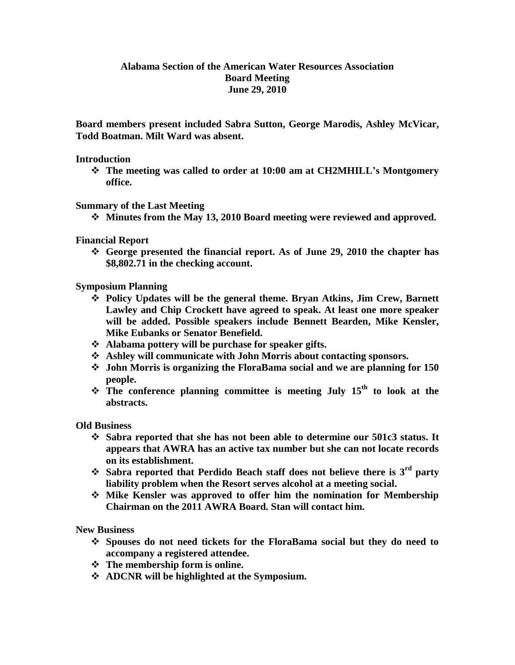## **Alabama Section of the American Water Resources Association Board Meeting June 29, 2010**

**Board members present included Sabra Sutton, George Marodis, Ashley McVicar, Todd Boatman. Milt Ward was absent.**

## **Introduction**

 **The meeting was called to order at 10:00 am at CH2MHILL's Montgomery office.**

**Summary of the Last Meeting**

**Minutes from the May 13, 2010 Board meeting were reviewed and approved.**

**Financial Report**

 **George presented the financial report. As of June 29, 2010 the chapter has \$8,802.71 in the checking account.** 

**Symposium Planning**

- **Policy Updates will be the general theme. Bryan Atkins, Jim Crew, Barnett Lawley and Chip Crockett have agreed to speak. At least one more speaker will be added. Possible speakers include Bennett Bearden, Mike Kensler, Mike Eubanks or Senator Benefield.**
- **Alabama pottery will be purchase for speaker gifts.**
- **Ashley will communicate with John Morris about contacting sponsors.**
- **John Morris is organizing the FloraBama social and we are planning for 150 people.**
- **The conference planning committee is meeting July 15th to look at the abstracts.**

**Old Business**

- **Sabra reported that she has not been able to determine our 501c3 status. It appears that AWRA has an active tax number but she can not locate records on its establishment.**
- **Sabra reported that Perdido Beach staff does not believe there is 3rd party liability problem when the Resort serves alcohol at a meeting social.**
- **Mike Kensler was approved to offer him the nomination for Membership Chairman on the 2011 AWRA Board. Stan will contact him.**

**New Business**

- **Spouses do not need tickets for the FloraBama social but they do need to accompany a registered attendee.**
- **The membership form is online.**
- **ADCNR will be highlighted at the Symposium.**